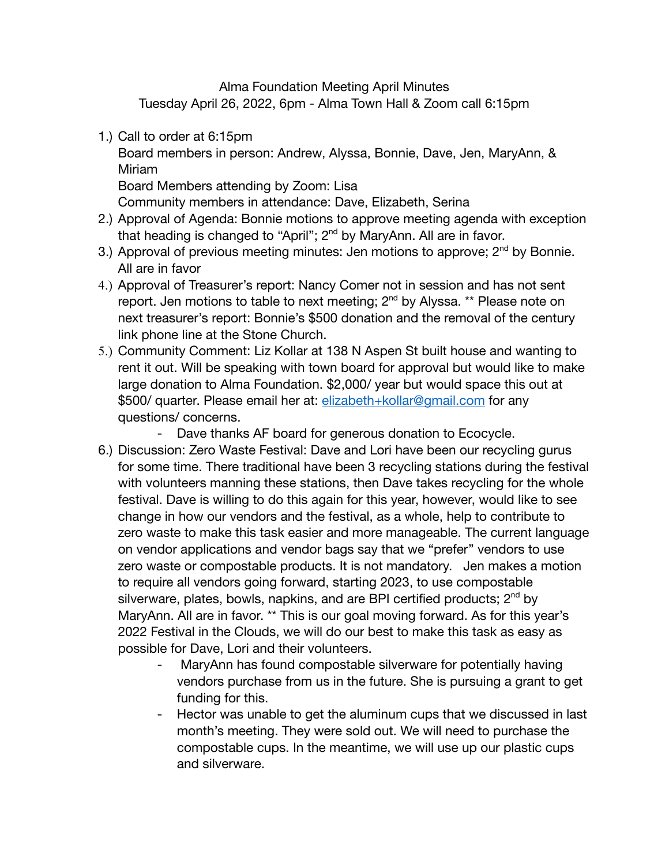Alma Foundation Meeting April Minutes Tuesday April 26, 2022, 6pm - Alma Town Hall & Zoom call 6:15pm

1.) Call to order at 6:15pm

Board members in person: Andrew, Alyssa, Bonnie, Dave, Jen, MaryAnn, & Miriam

Board Members attending by Zoom: Lisa

Community members in attendance: Dave, Elizabeth, Serina

- 2.) Approval of Agenda: Bonnie motions to approve meeting agenda with exception that heading is changed to "April"; 2<sup>nd</sup> by MaryAnn. All are in favor.
- 3.) Approval of previous meeting minutes: Jen motions to approve;  $2<sup>nd</sup>$  by Bonnie. All are in favor
- 4.) Approval of Treasurer's report: Nancy Comer not in session and has not sent report. Jen motions to table to next meeting; 2<sup>nd</sup> by Alyssa. \*\* Please note on next treasurer's report: Bonnie's \$500 donation and the removal of the century link phone line at the Stone Church.
- 5.) Community Comment: Liz Kollar at 138 N Aspen St built house and wanting to rent it out. Will be speaking with town board for approval but would like to make large donation to Alma Foundation. \$2,000/ year but would space this out at \$500/ quarter. Please email her at: [elizabeth+kollar@gmail.com](mailto:elizabeth+kollar@gmail.com) for any questions/ concerns.
	- Dave thanks AF board for generous donation to Ecocycle.
- 6.) Discussion: Zero Waste Festival: Dave and Lori have been our recycling gurus for some time. There traditional have been 3 recycling stations during the festival with volunteers manning these stations, then Dave takes recycling for the whole festival. Dave is willing to do this again for this year, however, would like to see change in how our vendors and the festival, as a whole, help to contribute to zero waste to make this task easier and more manageable. The current language on vendor applications and vendor bags say that we "prefer" vendors to use zero waste or compostable products. It is not mandatory. Jen makes a motion to require all vendors going forward, starting 2023, to use compostable silverware, plates, bowls, napkins, and are BPI certified products;  $2^{nd}$  by MaryAnn. All are in favor. \*\* This is our goal moving forward. As for this year's 2022 Festival in the Clouds, we will do our best to make this task as easy as possible for Dave, Lori and their volunteers.
	- MaryAnn has found compostable silverware for potentially having vendors purchase from us in the future. She is pursuing a grant to get funding for this.
	- Hector was unable to get the aluminum cups that we discussed in last month's meeting. They were sold out. We will need to purchase the compostable cups. In the meantime, we will use up our plastic cups and silverware.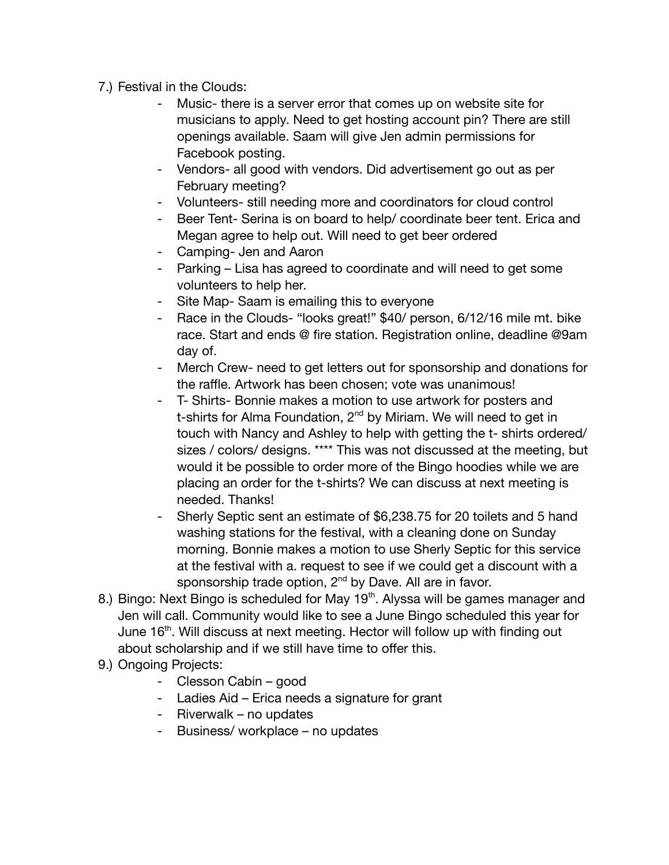- 7.) Festival in the Clouds:
	- Music- there is a server error that comes up on website site for musicians to apply. Need to get hosting account pin? There are still openings available. Saam will give Jen admin permissions for Facebook posting.
	- Vendors- all good with vendors. Did advertisement go out as per February meeting?
	- Volunteers- still needing more and coordinators for cloud control
	- Beer Tent- Serina is on board to help/ coordinate beer tent. Erica and Megan agree to help out. Will need to get beer ordered
	- Camping- Jen and Aaron
	- Parking Lisa has agreed to coordinate and will need to get some volunteers to help her.
	- Site Map- Saam is emailing this to everyone
	- Race in the Clouds- "looks great!" \$40/ person, 6/12/16 mile mt. bike race. Start and ends @ fire station. Registration online, deadline @9am day of.
	- Merch Crew- need to get letters out for sponsorship and donations for the raffle. Artwork has been chosen; vote was unanimous!
	- T- Shirts- Bonnie makes a motion to use artwork for posters and t-shirts for Alma Foundation,  $2^{nd}$  by Miriam. We will need to get in touch with Nancy and Ashley to help with getting the t- shirts ordered/ sizes / colors/ designs. \*\*\*\* This was not discussed at the meeting, but would it be possible to order more of the Bingo hoodies while we are placing an order for the t-shirts? We can discuss at next meeting is needed. Thanks!
	- Sherly Septic sent an estimate of \$6,238.75 for 20 toilets and 5 hand washing stations for the festival, with a cleaning done on Sunday morning. Bonnie makes a motion to use Sherly Septic for this service at the festival with a. request to see if we could get a discount with a sponsorship trade option, 2<sup>nd</sup> by Dave. All are in favor.
- 8.) Bingo: Next Bingo is scheduled for May 19<sup>th</sup>. Alyssa will be games manager and Jen will call. Community would like to see a June Bingo scheduled this year for June 16<sup>th</sup>. Will discuss at next meeting. Hector will follow up with finding out about scholarship and if we still have time to offer this.
- 9.) Ongoing Projects:
	- Clesson Cabin good
	- Ladies Aid Erica needs a signature for grant
	- Riverwalk no updates
	- Business/ workplace no updates